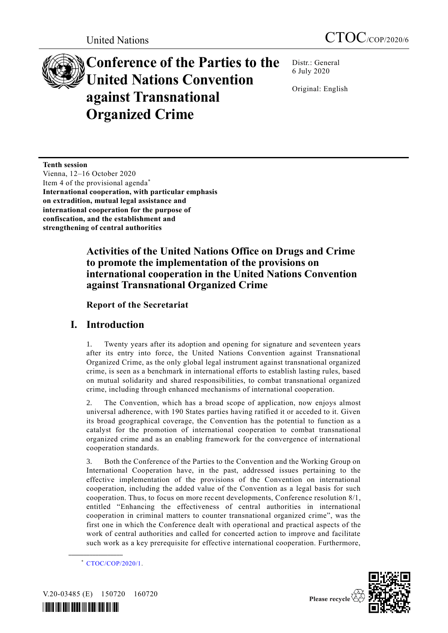# **Conference of the Parties to the United Nations Convention against Transnational Organized Crime**

Distr.: General 6 July 2020

Original: English

**Tenth session** Vienna, 12–16 October 2020 Item 4 of the provisional agenda\* **International cooperation, with particular emphasis on extradition, mutual legal assistance and international cooperation for the purpose of confiscation, and the establishment and strengthening of central authorities**

# **Activities of the United Nations Office on Drugs and Crime to promote the implementation of the provisions on international cooperation in the United Nations Convention against Transnational Organized Crime**

## **Report of the Secretariat**

# **I. Introduction**

1. Twenty years after its adoption and opening for signature and seventeen years after its entry into force, the United Nations Convention against Transnational Organized Crime, as the only global legal instrument against transnational organized crime, is seen as a benchmark in international efforts to establish lasting rules, based on mutual solidarity and shared responsibilities, to combat transnational organized crime, including through enhanced mechanisms of international cooperation.

2. The Convention, which has a broad scope of application, now enjoys almost universal adherence, with 190 States parties having ratified it or acceded to it. Given its broad geographical coverage, the Convention has the potential to function as a catalyst for the promotion of international cooperation to combat transnational organized crime and as an enabling framework for the convergence of international cooperation standards.

3. Both the Conference of the Parties to the Convention and the Working Group on International Cooperation have, in the past, addressed issues pertaining to the effective implementation of the provisions of the Convention on international cooperation, including the added value of the Convention as a legal basis for such cooperation. Thus, to focus on more recent developments, Conference resolution 8/1, entitled "Enhancing the effectiveness of central authorities in international cooperation in criminal matters to counter transnational organized crime", was the first one in which the Conference dealt with operational and practical aspects of the work of central authorities and called for concerted action to improve and facilitate such work as a key prerequisite for effective international cooperation. Furthermore,



V.20-03485 (E) 150720 160720



<sup>\*</sup> [CTOC/COP/2020/1.](http://undocs.org/CTOC/COP/2020/1)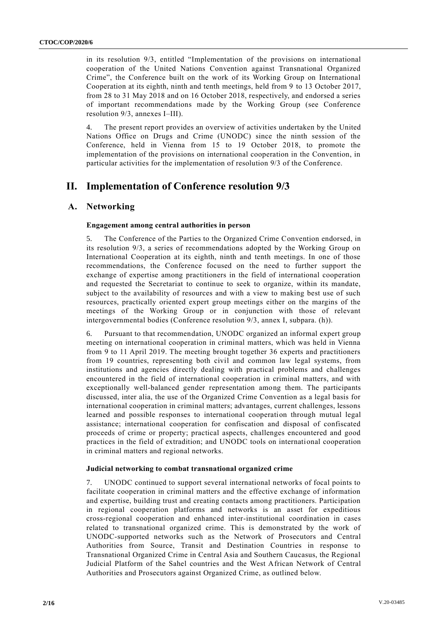in its resolution 9/3, entitled "Implementation of the provisions on international cooperation of the United Nations Convention against Transnational Organized Crime", the Conference built on the work of its Working Group on International Cooperation at its eighth, ninth and tenth meetings, held from 9 to 13 October 2017, from 28 to 31 May 2018 and on 16 October 2018, respectively, and endorsed a series of important recommendations made by the Working Group (see Conference resolution 9/3, annexes I–III).

4. The present report provides an overview of activities undertaken by the United Nations Office on Drugs and Crime (UNODC) since the ninth session of the Conference, held in Vienna from 15 to 19 October 2018, to promote the implementation of the provisions on international cooperation in the Convention, in particular activities for the implementation of resolution 9/3 of the Conference.

# **II. Implementation of Conference resolution 9/3**

#### **A. Networking**

#### **Engagement among central authorities in person**

5. The Conference of the Parties to the Organized Crime Convention endorsed, in its resolution 9/3, a series of recommendations adopted by the Working Group on International Cooperation at its eighth, ninth and tenth meetings. In one of those recommendations, the Conference focused on the need to further support the exchange of expertise among practitioners in the field of international cooperation and requested the Secretariat to continue to seek to organize, within its mandate, subject to the availability of resources and with a view to making best use of such resources, practically oriented expert group meetings either on the margins of the meetings of the Working Group or in conjunction with those of relevant intergovernmental bodies (Conference resolution 9/3, annex I, subpara. (h)).

6. Pursuant to that recommendation, UNODC organized an informal expert group meeting on international cooperation in criminal matters, which was held in Vienna from 9 to 11 April 2019. The meeting brought together 36 experts and practitioners from 19 countries, representing both civil and common law legal systems, from institutions and agencies directly dealing with practical problems and challenges encountered in the field of international cooperation in criminal matters, and with exceptionally well-balanced gender representation among them. The participants discussed, inter alia, the use of the Organized Crime Convention as a legal basis for international cooperation in criminal matters; advantages, current challenges, lessons learned and possible responses to international cooperation through mutual legal assistance; international cooperation for confiscation and disposal of confiscated proceeds of crime or property; practical aspects, challenges encountered and good practices in the field of extradition; and UNODC tools on international cooperation in criminal matters and regional networks.

#### **Judicial networking to combat transnational organized crime**

7. UNODC continued to support several international networks of focal points to facilitate cooperation in criminal matters and the effective exchange of information and expertise, building trust and creating contacts among practitioners. Participation in regional cooperation platforms and networks is an asset for expeditious cross-regional cooperation and enhanced inter-institutional coordination in cases related to transnational organized crime. This is demonstrated by the work of UNODC-supported networks such as the Network of Prosecutors and Central Authorities from Source, Transit and Destination Countries in response to Transnational Organized Crime in Central Asia and Southern Caucasus, the Regional Judicial Platform of the Sahel countries and the West African Network of Central Authorities and Prosecutors against Organized Crime, as outlined below.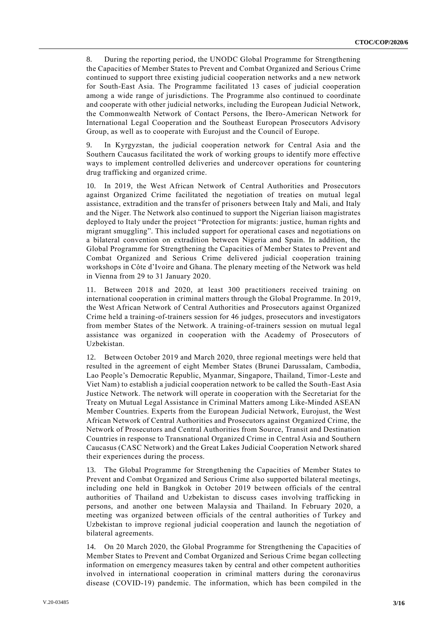8. During the reporting period, the UNODC Global Programme for Strengthening the Capacities of Member States to Prevent and Combat Organized and Serious Crime continued to support three existing judicial cooperation networks and a new network for South-East Asia. The Programme facilitated 13 cases of judicial cooperation among a wide range of jurisdictions. The Programme also continued to coordinate and cooperate with other judicial networks, including the European Judicial Network, the Commonwealth Network of Contact Persons, the Ibero-American Network for International Legal Cooperation and the Southeast European Prosecutors Advisory Group, as well as to cooperate with Eurojust and the Council of Europe.

9. In Kyrgyzstan, the judicial cooperation network for Central Asia and the Southern Caucasus facilitated the work of working groups to identify more effective ways to implement controlled deliveries and undercover operations for countering drug trafficking and organized crime.

10. In 2019, the West African Network of Central Authorities and Prosecutors against Organized Crime facilitated the negotiation of treaties on mutual legal assistance, extradition and the transfer of prisoners between Italy and Mali, and Italy and the Niger. The Network also continued to support the Nigerian liaison magistrates deployed to Italy under the project "Protection for migrants: justice, human rights and migrant smuggling". This included support for operational cases and negotiations on a bilateral convention on extradition between Nigeria and Spain. In addition, the Global Programme for Strengthening the Capacities of Member States to Prevent and Combat Organized and Serious Crime delivered judicial cooperation training workshops in Côte d'Ivoire and Ghana. The plenary meeting of the Network was held in Vienna from 29 to 31 January 2020.

11. Between 2018 and 2020, at least 300 practitioners received training on international cooperation in criminal matters through the Global Programme. In 2019, the West African Network of Central Authorities and Prosecutors against Organized Crime held a training-of-trainers session for 46 judges, prosecutors and investigators from member States of the Network. A training-of-trainers session on mutual legal assistance was organized in cooperation with the Academy of Prosecutors of Uzbekistan.

12. Between October 2019 and March 2020, three regional meetings were held that resulted in the agreement of eight Member States (Brunei Darussalam, Cambodia, Lao People's Democratic Republic, Myanmar, Singapore, Thailand, Timor-Leste and Viet Nam) to establish a judicial cooperation network to be called the South-East Asia Justice Network. The network will operate in cooperation with the Secretariat for the Treaty on Mutual Legal Assistance in Criminal Matters among Like‐Minded ASEAN Member Countries. Experts from the European Judicial Network, Eurojust, the West African Network of Central Authorities and Prosecutors against Organized Crime, the Network of Prosecutors and Central Authorities from Source, Transit and Destination Countries in response to Transnational Organized Crime in Central Asia and Southern Caucasus (CASC Network) and the Great Lakes Judicial Cooperation Network shared their experiences during the process.

13. The Global Programme for Strengthening the Capacities of Member States to Prevent and Combat Organized and Serious Crime also supported bilateral meetings, including one held in Bangkok in October 2019 between officials of the central authorities of Thailand and Uzbekistan to discuss cases involving trafficking in persons, and another one between Malaysia and Thailand. In February 2020, a meeting was organized between officials of the central authorities of Turkey and Uzbekistan to improve regional judicial cooperation and launch the negotiation of bilateral agreements.

14. On 20 March 2020, the Global Programme for Strengthening the Capacities of Member States to Prevent and Combat Organized and Serious Crime began collecting information on emergency measures taken by central and other competent authorities involved in international cooperation in criminal matters during the coronavirus disease (COVID-19) pandemic. The information, which has been compiled in the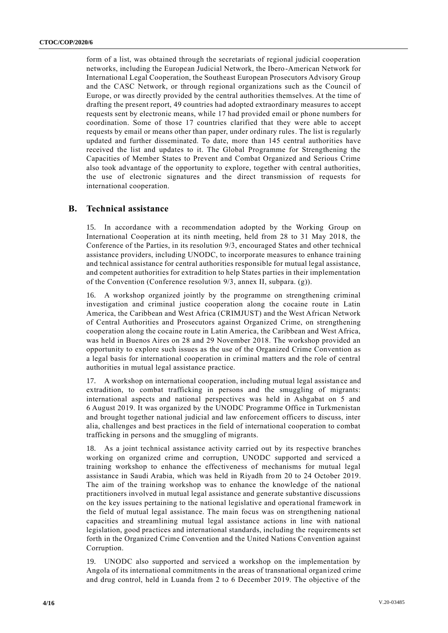form of a list, was obtained through the secretariats of regional judicial cooperation networks, including the European Judicial Network, the Ibero-American Network for International Legal Cooperation, the Southeast European Prosecutors Advisory Group and the CASC Network, or through regional organizations such as the Council of Europe, or was directly provided by the central authorities themselves. At the time of drafting the present report, 49 countries had adopted extraordinary measures to accept requests sent by electronic means, while 17 had provided email or phone numbers for coordination. Some of those 17 countries clarified that they were able to accept requests by email or means other than paper, under ordinary rules. The list is regularly updated and further disseminated. To date, more than 145 central authorities have received the list and updates to it. The Global Programme for Strengthening the Capacities of Member States to Prevent and Combat Organized and Serious Crime also took advantage of the opportunity to explore, together with central authorities, the use of electronic signatures and the direct transmission of requests for international cooperation.

#### **B. Technical assistance**

15. In accordance with a recommendation adopted by the Working Group on International Cooperation at its ninth meeting, held from 28 to 31 May 2018, the Conference of the Parties, in its resolution 9/3, encouraged States and other technical assistance providers, including UNODC, to incorporate measures to enhance trai ning and technical assistance for central authorities responsible for mutual legal assistance, and competent authorities for extradition to help States parties in their implementation of the Convention (Conference resolution 9/3, annex II, subpara. (g)).

16. A workshop organized jointly by the programme on strengthening criminal investigation and criminal justice cooperation along the cocaine route in Latin America, the Caribbean and West Africa (CRIMJUST) and the West African Network of Central Authorities and Prosecutors against Organized Crime, on strengthening cooperation along the cocaine route in Latin America, the Caribbean and West Africa, was held in Buenos Aires on 28 and 29 November 2018. The workshop provided an opportunity to explore such issues as the use of the Organized Crime Convention as a legal basis for international cooperation in criminal matters and the role of central authorities in mutual legal assistance practice.

17. A workshop on international cooperation, including mutual legal assistance and extradition, to combat trafficking in persons and the smuggling of migrants: international aspects and national perspectives was held in Ashgabat on 5 and 6 August 2019. It was organized by the UNODC Programme Office in Turkmenistan and brought together national judicial and law enforcement officers to discuss, inter alia, challenges and best practices in the field of international cooperation to combat trafficking in persons and the smuggling of migrants.

18. As a joint technical assistance activity carried out by its respective branches working on organized crime and corruption, UNODC supported and serviced a training workshop to enhance the effectiveness of mechanisms for mutual legal assistance in Saudi Arabia, which was held in Riyadh from 20 to 24 October 2019. The aim of the training workshop was to enhance the knowledge of the national practitioners involved in mutual legal assistance and generate substantive discussions on the key issues pertaining to the national legislative and opera tional framework in the field of mutual legal assistance. The main focus was on strengthening national capacities and streamlining mutual legal assistance actions in line with national legislation, good practices and international standards, including the requirements set forth in the Organized Crime Convention and the United Nations Convention against Corruption.

19. UNODC also supported and serviced a workshop on the implementation by Angola of its international commitments in the areas of transnational organized crime and drug control, held in Luanda from 2 to 6 December 2019. The objective of the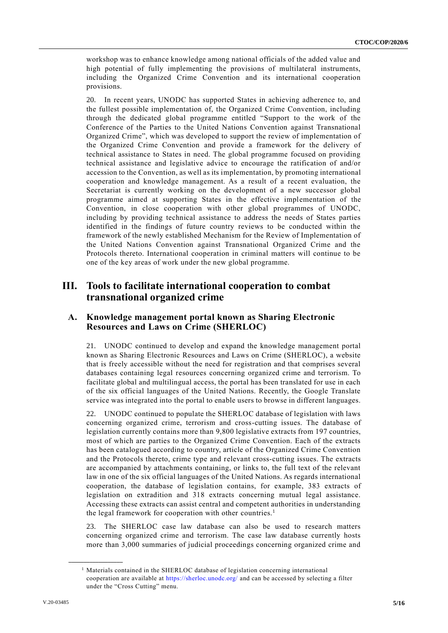workshop was to enhance knowledge among national officials of the added value and high potential of fully implementing the provisions of multilateral instruments, including the Organized Crime Convention and its international cooperation provisions.

20. In recent years, UNODC has supported States in achieving adherence to, and the fullest possible implementation of, the Organized Crime Convention, including through the dedicated global programme entitled "Support to the work of the Conference of the Parties to the United Nations Convention against Transnational Organized Crime", which was developed to support the review of implementation of the Organized Crime Convention and provide a framework for the delivery of technical assistance to States in need. The global programme focused on providing technical assistance and legislative advice to encourage the ratification of and/or accession to the Convention, as well as its implementation, by promoting international cooperation and knowledge management. As a result of a recent evaluation, the Secretariat is currently working on the development of a new successor global programme aimed at supporting States in the effective implementation of the Convention, in close cooperation with other global programmes of UNODC, including by providing technical assistance to address the needs of States parties identified in the findings of future country reviews to be conducted within the framework of the newly established Mechanism for the Review of Implementation of the United Nations Convention against Transnational Organized Crime and the Protocols thereto. International cooperation in criminal matters will continue to be one of the key areas of work under the new global programme.

# **III. Tools to facilitate international cooperation to combat transnational organized crime**

#### **A. Knowledge management portal known as Sharing Electronic Resources and Laws on Crime (SHERLOC)**

21. UNODC continued to develop and expand the knowledge management portal known as Sharing Electronic Resources and Laws on Crime (SHERLOC), a website that is freely accessible without the need for registration and that comprises several databases containing legal resources concerning organized crime and terrorism. To facilitate global and multilingual access, the portal has been translated for use in each of the six official languages of the United Nations. Recently, the Google Translate service was integrated into the portal to enable users to browse in different languages.

22. UNODC continued to populate the SHERLOC database of legislation with laws concerning organized crime, terrorism and cross-cutting issues. The database of legislation currently contains more than 9,800 legislative extracts from 197 countries, most of which are parties to the Organized Crime Convention. Each of the extracts has been catalogued according to country, article of the Organized Crime Convention and the Protocols thereto, crime type and relevant cross-cutting issues. The extracts are accompanied by attachments containing, or links to, the full text of the relevant law in one of the six official languages of the United Nations. As regards international cooperation, the database of legislation contains, for example, 383 extracts of legislation on extradition and 318 extracts concerning mutual legal assistance. Accessing these extracts can assist central and competent authorities in understanding the legal framework for cooperation with other countries.<sup>1</sup>

23. The SHERLOC case law database can also be used to research matters concerning organized crime and terrorism. The case law database currently hosts more than 3,000 summaries of judicial proceedings concerning organized crime and

<sup>&</sup>lt;sup>1</sup> Materials contained in the SHERLOC database of legislation concerning international cooperation are available at<https://sherloc.unodc.org/> and can be accessed by selecting a filter under the "Cross Cutting" menu.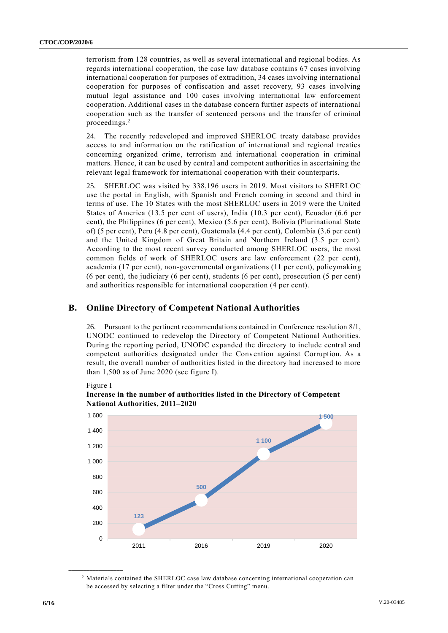terrorism from 128 countries, as well as several international and regional bodies. As regards international cooperation, the case law database contains 67 cases involving international cooperation for purposes of extradition, 34 cases involving international cooperation for purposes of confiscation and asset recovery, 93 cases involving mutual legal assistance and 100 cases involving international law enforcement cooperation. Additional cases in the database concern further aspects of international cooperation such as the transfer of sentenced persons and the transfer of criminal proceedings.<sup>2</sup>

24. The recently redeveloped and improved SHERLOC treaty database provides access to and information on the ratification of international and regional treaties concerning organized crime, terrorism and international cooperation in criminal matters. Hence, it can be used by central and competent authorities in ascertaining the relevant legal framework for international cooperation with their counterparts.

25. SHERLOC was visited by 338,196 users in 2019. Most visitors to SHERLOC use the portal in English, with Spanish and French coming in second and third in terms of use. The 10 States with the most SHERLOC users in 2019 were the United States of America (13.5 per cent of users), India (10.3 per cent), Ecuador (6.6 per cent), the Philippines (6 per cent), Mexico (5.6 per cent), Bolivia (Plurinational State of) (5 per cent), Peru (4.8 per cent), Guatemala (4.4 per cent), Colombia (3.6 per cent) and the United Kingdom of Great Britain and Northern Ireland (3.5 per cent). According to the most recent survey conducted among SHERLOC users, the most common fields of work of SHERLOC users are law enforcement (22 per cent), academia (17 per cent), non-governmental organizations (11 per cent), policymaking (6 per cent), the judiciary (6 per cent), students (6 per cent), prosecution (5 per cent) and authorities responsible for international cooperation (4 per cent).

## **B. Online Directory of Competent National Authorities**

26. Pursuant to the pertinent recommendations contained in Conference resolution 8/1, UNODC continued to redevelop the Directory of Competent National Authorities. During the reporting period, UNODC expanded the directory to include central and competent authorities designated under the Convention against Corruption. As a result, the overall number of authorities listed in the directory had increased to more than 1,500 as of June 2020 (see figure I).

Figure I



**Increase in the number of authorities listed in the Directory of Competent National Authorities, 2011–2020**

<sup>2</sup> Materials contained the SHERLOC case law database concerning international cooperation can be accessed by selecting a filter under the "Cross Cutting" menu.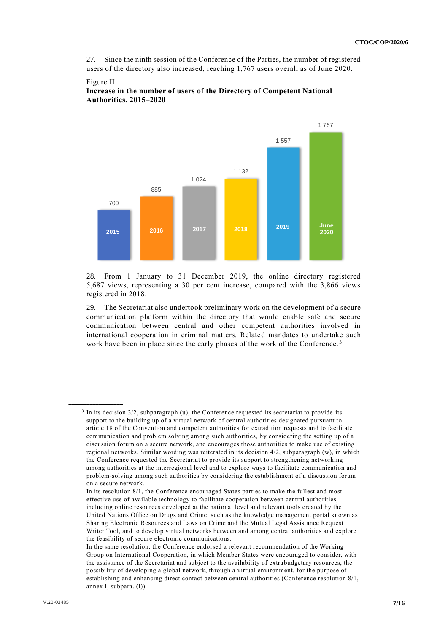27. Since the ninth session of the Conference of the Parties, the number of registered users of the directory also increased, reaching 1,767 users overall as of June 2020.

# 700 885 1 024 1 132 1 557 1 767 **<sup>2015</sup> <sup>2016</sup> <sup>2017</sup> <sup>2018</sup> <sup>2019</sup> June 2020**

#### Figure II **Increase in the number of users of the Directory of Competent National Authorities, 2015–2020**

28. From 1 January to 31 December 2019, the online directory registered 5,687 views, representing a 30 per cent increase, compared with the 3,866 views registered in 2018.

29. The Secretariat also undertook preliminary work on the development of a secure communication platform within the directory that would enable safe and secure communication between central and other competent authorities involved in international cooperation in criminal matters. Related mandates to undertake such work have been in place since the early phases of the work of the Conference.<sup>3</sup>

<sup>&</sup>lt;sup>3</sup> In its decision 3/2, subparagraph (u), the Conference requested its secretariat to provide its support to the building up of a virtual network of central authorities designated pursuant to article 18 of the Convention and competent authorities for extradition requests and to facilitate communication and problem solving among such authorities, by considering the setting up of a discussion forum on a secure network, and encourages those authorities to make use of existing regional networks. Similar wording was reiterated in its decision 4/2, subparagraph (w), in which the Conference requested the Secretariat to provide its support to strengthening networking among authorities at the interregional level and to explore ways to facilitate communication and problem-solving among such authorities by considering the establishment of a discussion forum on a secure network.

In its resolution 8/1, the Conference encouraged States parties to make the fullest and most effective use of available technology to facilitate cooperation between central authorities, including online resources developed at the national level and relevant tools created by the United Nations Office on Drugs and Crime, such as the knowledge management portal known as Sharing Electronic Resources and Laws on Crime and the Mutual Legal Assistance Request Writer Tool, and to develop virtual networks between and among central authorities and explore the feasibility of secure electronic communications.

In the same resolution, the Conference endorsed a relevant recommendation of the Working Group on International Cooperation, in which Member States were encouraged to consider, with the assistance of the Secretariat and subject to the availability of extrabudgetary resources, the possibility of developing a global network, through a virtual environment, for the purpose of establishing and enhancing direct contact between central authorities (Conference resolution 8/1, annex I, subpara. (l)).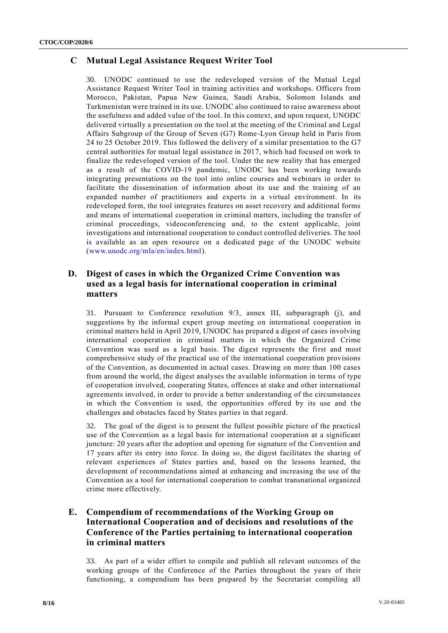## **C Mutual Legal Assistance Request Writer Tool**

30. UNODC continued to use the redeveloped version of the Mutual Legal Assistance Request Writer Tool in training activities and workshops. Officers from Morocco, Pakistan, Papua New Guinea, Saudi Arabia, Solomon Islands and Turkmenistan were trained in its use. UNODC also continued to raise awareness about the usefulness and added value of the tool. In this context, and upon request, UNODC delivered virtually a presentation on the tool at the meeting of the Criminal and Legal Affairs Subgroup of the Group of Seven (G7) Rome-Lyon Group held in Paris from 24 to 25 October 2019. This followed the delivery of a similar presentation to the G7 central authorities for mutual legal assistance in 2017, which had focused on work to finalize the redeveloped version of the tool. Under the new reality that has emerged as a result of the COVID-19 pandemic, UNODC has been working towards integrating presentations on the tool into online courses and webinars in order to facilitate the dissemination of information about its use and the training of an expanded number of practitioners and experts in a virtual environment. In its redeveloped form, the tool integrates features on asset recovery and additional forms and means of international cooperation in criminal matters, including the transfer of criminal proceedings, videoconferencing and, to the extent applicable, joint investigations and international cooperation to conduct controlled deliveries. The tool is available as an open resource on a dedicated page of the UNODC website [\(www.unodc.org/mla/en/index.html\)](http://www.unodc.org/mla/en/index.html).

#### **D. Digest of cases in which the Organized Crime Convention was used as a legal basis for international cooperation in criminal matters**

31. Pursuant to Conference resolution 9/3, annex III, subparagraph (j), and suggestions by the informal expert group meeting on international cooperation in criminal matters held in April 2019, UNODC has prepared a digest of cases involving international cooperation in criminal matters in which the Organized Crime Convention was used as a legal basis. The digest represents the first and most comprehensive study of the practical use of the international cooperation provisions of the Convention, as documented in actual cases. Drawing on more than 100 cases from around the world, the digest analyses the available information in terms of type of cooperation involved, cooperating States, offences at stake and other international agreements involved, in order to provide a better understanding of the circumstances in which the Convention is used, the opportunities offered by its use and the challenges and obstacles faced by States parties in that regard.

32. The goal of the digest is to present the fullest possible picture of the practical use of the Convention as a legal basis for international cooperation at a significant juncture: 20 years after the adoption and opening for signature of the Convention and 17 years after its entry into force. In doing so, the digest facilitates the sharing of relevant experiences of States parties and, based on the lessons learned, the development of recommendations aimed at enhancing and increasing the use of the Convention as a tool for international cooperation to combat transnational organized crime more effectively.

## **E. Compendium of recommendations of the Working Group on International Cooperation and of decisions and resolutions of the Conference of the Parties pertaining to international cooperation in criminal matters**

33. As part of a wider effort to compile and publish all relevant outcomes of the working groups of the Conference of the Parties throughout the years of their functioning, a compendium has been prepared by the Secretariat compiling all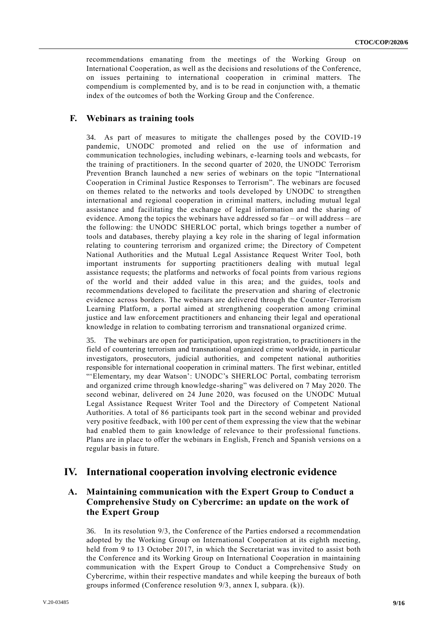recommendations emanating from the meetings of the Working Group on International Cooperation, as well as the decisions and resolutions of the Conference, on issues pertaining to international cooperation in criminal matters. The compendium is complemented by, and is to be read in conjunction with, a thematic index of the outcomes of both the Working Group and the Conference.

#### **F. Webinars as training tools**

34. As part of measures to mitigate the challenges posed by the COVID-19 pandemic, UNODC promoted and relied on the use of information and communication technologies, including webinars, e-learning tools and webcasts, for the training of practitioners. In the second quarter of 2020, the UNODC Terrorism Prevention Branch launched a new series of webinars on the topic "International Cooperation in Criminal Justice Responses to Terrorism". The webinars are focused on themes related to the networks and tools developed by UNODC to strengthen international and regional cooperation in criminal matters, including mutual legal assistance and facilitating the exchange of legal information and the sharing of evidence. Among the topics the webinars have addressed so far – or will address – are the following: the UNODC SHERLOC portal, which brings together a number of tools and databases, thereby playing a key role in the sharing of legal information relating to countering terrorism and organized crime; the Directory of Competent National Authorities and the Mutual Legal Assistance Request Writer Tool, both important instruments for supporting practitioners dealing with mutual legal assistance requests; the platforms and networks of focal points from various regions of the world and their added value in this area; and the guides, tools and recommendations developed to facilitate the preservation and sharing of electronic evidence across borders. The webinars are delivered through the Counter-Terrorism Learning Platform, a portal aimed at strengthening cooperation among criminal justice and law enforcement practitioners and enhancing their legal and operational knowledge in relation to combating terrorism and transnational organized crime.

35. The webinars are open for participation, upon registration, to practitioners in the field of countering terrorism and transnational organized crime worldwide, in particular investigators, prosecutors, judicial authorities, and competent national authorities responsible for international cooperation in criminal matters. The first webinar, entitled "'Elementary, my dear Watson': UNODC's SHERLOC Portal, combating terrorism and organized crime through knowledge-sharing" was delivered on 7 May 2020. The second webinar, delivered on 24 June 2020, was focused on the UNODC Mutual Legal Assistance Request Writer Tool and the Directory of Competent National Authorities. A total of 86 participants took part in the second webinar and provided very positive feedback, with 100 per cent of them expressing the view that the webinar had enabled them to gain knowledge of relevance to their professional functions. Plans are in place to offer the webinars in English, French and Spanish versions on a regular basis in future.

## **IV. International cooperation involving electronic evidence**

## **A. Maintaining communication with the Expert Group to Conduct a Comprehensive Study on Cybercrime: an update on the work of the Expert Group**

36. In its resolution 9/3, the Conference of the Parties endorsed a recommendation adopted by the Working Group on International Cooperation at its eighth meeting, held from 9 to 13 October 2017, in which the Secretariat was invited to assist both the Conference and its Working Group on International Cooperation in maintaining communication with the Expert Group to Conduct a Comprehensive Study on Cybercrime, within their respective mandates and while keeping the bureaux of both groups informed (Conference resolution 9/3, annex I, subpara. (k)).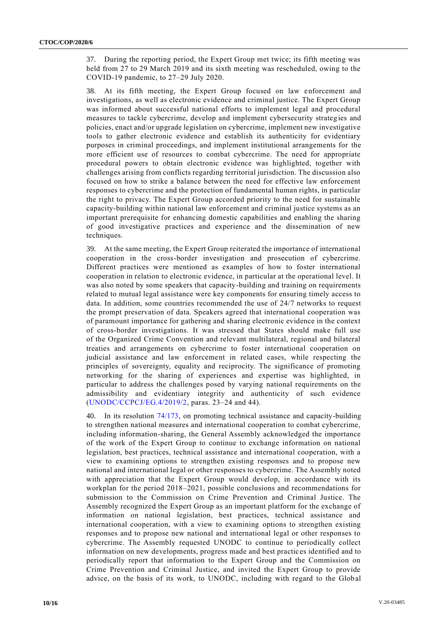37. During the reporting period, the Expert Group met twice; its fifth meeting was held from 27 to 29 March 2019 and its sixth meeting was rescheduled, owing to the COVID-19 pandemic, to 27–29 July 2020.

38. At its fifth meeting, the Expert Group focused on law enforcement and investigations, as well as electronic evidence and criminal justice. The Expert Group was informed about successful national efforts to implement legal and procedural measures to tackle cybercrime, develop and implement cybersecurity strateg ies and policies, enact and/or upgrade legislation on cybercrime, implement new investigative tools to gather electronic evidence and establish its authenticity for evidentiary purposes in criminal proceedings, and implement institutional arrangements for the more efficient use of resources to combat cybercrime. The need for appropriate procedural powers to obtain electronic evidence was highlighted, together with challenges arising from conflicts regarding territorial jurisdiction. The discussion also focused on how to strike a balance between the need for effective law enforcement responses to cybercrime and the protection of fundamental human rights, in particular the right to privacy. The Expert Group accorded priority to the need for sustainable capacity-building within national law enforcement and criminal justice systems as an important prerequisite for enhancing domestic capabilities and enabling the sharing of good investigative practices and experience and the dissemination of new techniques.

39. At the same meeting, the Expert Group reiterated the importance of international cooperation in the cross-border investigation and prosecution of cybercrime. Different practices were mentioned as examples of how to foster international cooperation in relation to electronic evidence, in particular at the operational level. It was also noted by some speakers that capacity-building and training on requirements related to mutual legal assistance were key components for ensuring timely access to data. In addition, some countries recommended the use of 24/7 networks to request the prompt preservation of data. Speakers agreed that international cooperation was of paramount importance for gathering and sharing electronic evidence in the context of cross-border investigations. It was stressed that States should make full use of the Organized Crime Convention and relevant multilateral, regional and bilateral treaties and arrangements on cybercrime to foster international cooperation on judicial assistance and law enforcement in related cases, while respecting the principles of sovereignty, equality and reciprocity. The significance of promoting networking for the sharing of experiences and expertise was highlighted, in particular to address the challenges posed by varying national requirements on the admissibility and evidentiary integrity and authenticity of such evidence [\(UNODC/CCPCJ/EG.4/2019/2,](http://undocs.org/UNODC/CCPCJ/EG.4/2019/2) paras. 23–24 and 44).

40. In its resolution [74/173,](http://undocs.org/A/RES/74/173) on promoting technical assistance and capacity-building to strengthen national measures and international cooperation to combat cybercrime, including information-sharing, the General Assembly acknowledged the importance of the work of the Expert Group to continue to exchange information on national legislation, best practices, technical assistance and international cooperation, with a view to examining options to strengthen existing responses and to propose new national and international legal or other responses to cybercrime. The Assembly noted with appreciation that the Expert Group would develop, in accordance with its workplan for the period 2018–2021, possible conclusions and recommendations for submission to the Commission on Crime Prevention and Criminal Justice. The Assembly recognized the Expert Group as an important platform for the exchange of information on national legislation, best practices, technical assistance and international cooperation, with a view to examining options to strengthen existing responses and to propose new national and international legal or other responses to cybercrime. The Assembly requested UNODC to continue to periodically collect information on new developments, progress made and best practices identified and to periodically report that information to the Expert Group and the Commission on Crime Prevention and Criminal Justice, and invited the Expert Group to provide advice, on the basis of its work, to UNODC, including with regard to the Global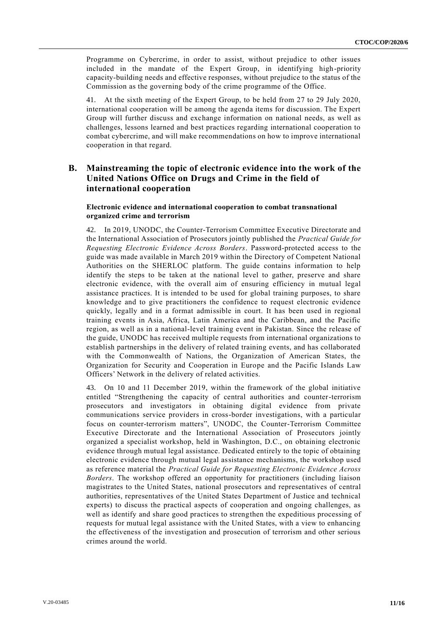Programme on Cybercrime, in order to assist, without prejudice to other issues included in the mandate of the Expert Group, in identifying high-priority capacity-building needs and effective responses, without prejudice to the status of the Commission as the governing body of the crime programme of the Office.

41. At the sixth meeting of the Expert Group, to be held from 27 to 29 July 2020, international cooperation will be among the agenda items for discussion. The Expert Group will further discuss and exchange information on national needs, as well as challenges, lessons learned and best practices regarding international cooperation to combat cybercrime, and will make recommendations on how to improve international cooperation in that regard.

#### **B. Mainstreaming the topic of electronic evidence into the work of the United Nations Office on Drugs and Crime in the field of international cooperation**

#### **Electronic evidence and international cooperation to combat transnational organized crime and terrorism**

42. In 2019, UNODC, the Counter-Terrorism Committee Executive Directorate and the International Association of Prosecutors jointly published the *Practical Guide for Requesting Electronic Evidence Across Borders*. Password-protected access to the guide was made available in March 2019 within the Directory of Competent National Authorities on the SHERLOC platform. The guide contains information to help identify the steps to be taken at the national level to gather, preserve and share electronic evidence, with the overall aim of ensuring efficiency in mutual legal assistance practices. It is intended to be used for global training purposes, to share knowledge and to give practitioners the confidence to request electronic evidence quickly, legally and in a format admissible in court. It has been used in regional training events in Asia, Africa, Latin America and the Caribbean, and the Pacific region, as well as in a national-level training event in Pakistan. Since the release of the guide, UNODC has received multiple requests from international organizations to establish partnerships in the delivery of related training events, and has collaborated with the Commonwealth of Nations, the Organization of American States, the Organization for Security and Cooperation in Europe and the Pacific Islands Law Officers' Network in the delivery of related activities.

43. On 10 and 11 December 2019, within the framework of the global initiative entitled "Strengthening the capacity of central authorities and counter-terrorism prosecutors and investigators in obtaining digital evidence from private communications service providers in cross-border investigations, with a particular focus on counter-terrorism matters", UNODC, the Counter-Terrorism Committee Executive Directorate and the International Association of Prosecutors jointly organized a specialist workshop, held in Washington, D.C., on obtaining electronic evidence through mutual legal assistance. Dedicated entirely to the topic of obtaining electronic evidence through mutual legal assistance mechanisms, the workshop used as reference material the *Practical Guide for Requesting Electronic Evidence Across Borders*. The workshop offered an opportunity for practitioners (including liaison magistrates to the United States, national prosecutors and representatives of central authorities, representatives of the United States Department of Justice and technical experts) to discuss the practical aspects of cooperation and ongoing challenges, as well as identify and share good practices to strengthen the expeditious processing of requests for mutual legal assistance with the United States, with a view to enhancing the effectiveness of the investigation and prosecution of terrorism and other serious crimes around the world.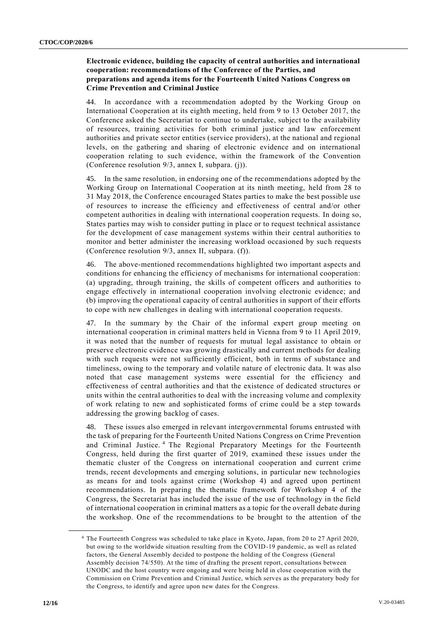#### **Electronic evidence, building the capacity of central authorities and international cooperation: recommendations of the Conference of the Parties, and preparations and agenda items for the Fourteenth United Nations Congress on Crime Prevention and Criminal Justice**

44. In accordance with a recommendation adopted by the Working Group on International Cooperation at its eighth meeting, held from 9 to 13 October 2017, the Conference asked the Secretariat to continue to undertake, subject to the availability of resources, training activities for both criminal justice and law enforcement authorities and private sector entities (service providers), at the national and regional levels, on the gathering and sharing of electronic evidence and on international cooperation relating to such evidence, within the framework of the Convention (Conference resolution 9/3, annex I, subpara. (j)).

45. In the same resolution, in endorsing one of the recommendations adopted by the Working Group on International Cooperation at its ninth meeting, held from 28 to 31 May 2018, the Conference encouraged States parties to make the best possible use of resources to increase the efficiency and effectiveness of central and/or other competent authorities in dealing with international cooperation requests. In doing so, States parties may wish to consider putting in place or to request technical assistance for the development of case management systems within their central authorities to monitor and better administer the increasing workload occasioned by such requests (Conference resolution 9/3, annex II, subpara. (f)).

46. The above-mentioned recommendations highlighted two important aspects and conditions for enhancing the efficiency of mechanisms for international cooperation: (a) upgrading, through training, the skills of competent officers and authorities to engage effectively in international cooperation involving electronic evidence; and (b) improving the operational capacity of central authorities in support of their efforts to cope with new challenges in dealing with international cooperation requests.

47. In the summary by the Chair of the informal expert group meeting on international cooperation in criminal matters held in Vienna from 9 to 11 April 2019, it was noted that the number of requests for mutual legal assistance to obtain or preserve electronic evidence was growing drastically and current methods for dealing with such requests were not sufficiently efficient, both in terms of substance and timeliness, owing to the temporary and volatile nature of electronic data. It was also noted that case management systems were essential for the efficiency and effectiveness of central authorities and that the existence of dedicated structures or units within the central authorities to deal with the increasing volume and complexity of work relating to new and sophisticated forms of crime could be a step towards addressing the growing backlog of cases.

48. These issues also emerged in relevant intergovernmental forums entrusted with the task of preparing for the Fourteenth United Nations Congress on Crime Prevention and Criminal Justice.<sup>4</sup> The Regional Preparatory Meetings for the Fourteenth Congress, held during the first quarter of 2019, examined these issues under the thematic cluster of the Congress on international cooperation and current crime trends, recent developments and emerging solutions, in particular new technologies as means for and tools against crime (Workshop 4) and agreed upon pertinent recommendations. In preparing the thematic framework for Workshop 4 of the Congress, the Secretariat has included the issue of the use of technology in the field of international cooperation in criminal matters as a topic for the overall debate during the workshop. One of the recommendations to be brought to the attention of the

<sup>4</sup> The Fourteenth Congress was scheduled to take place in Kyoto, Japan, from 20 to 27 April 2020, but owing to the worldwide situation resulting from the COVID-19 pandemic, as well as related factors, the General Assembly decided to postpone the holding of the Congress (General Assembly decision 74/550). At the time of drafting the present report, consultations between UNODC and the host country were ongoing and were being held in close cooperation with the Commission on Crime Prevention and Criminal Justice, which serves as the preparatory body for the Congress, to identify and agree upon new dates for the Congress.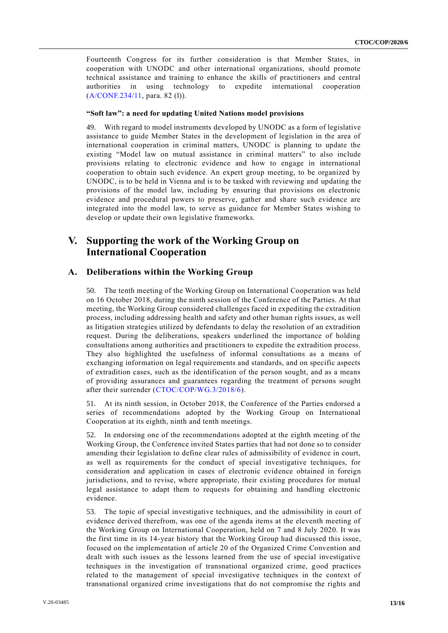Fourteenth Congress for its further consideration is that Member States, in cooperation with UNODC and other international organizations, should promote technical assistance and training to enhance the skills of practitioners and central authorities in using technology to expedite international cooperation [\(A/CONF.234/11,](http://undocs.org/A/CONF.234/11) para. 82 (l)).

#### **"Soft law": a need for updating United Nations model provisions**

49. With regard to model instruments developed by UNODC as a form of legislative assistance to guide Member States in the development of legislation in the area of international cooperation in criminal matters, UNODC is planning to update the existing "Model law on mutual assistance in criminal matters" to also include provisions relating to electronic evidence and how to engage in international cooperation to obtain such evidence. An expert group meeting, to be organized by UNODC, is to be held in Vienna and is to be tasked with reviewing and updating the provisions of the model law, including by ensuring that provisions on electronic evidence and procedural powers to preserve, gather and share such evidence are integrated into the model law, to serve as guidance for Member States wishing to develop or update their own legislative frameworks.

# **V. Supporting the work of the Working Group on International Cooperation**

#### **A. Deliberations within the Working Group**

50. The tenth meeting of the Working Group on International Cooperation was held on 16 October 2018, during the ninth session of the Conference of the Parties. At that meeting, the Working Group considered challenges faced in expediting the extradition process, including addressing health and safety and other human rights issues, as well as litigation strategies utilized by defendants to delay the resolution of an extradition request. During the deliberations, speakers underlined the importance of holding consultations among authorities and practitioners to expedite the extradition process. They also highlighted the usefulness of informal consultations as a means of exchanging information on legal requirements and standards, and on specific aspects of extradition cases, such as the identification of the person sought, and as a means of providing assurances and guarantees regarding the treatment of persons sought after their surrender [\(CTOC/COP/WG.3/2018/6\)](http://undocs.org/CTOC/COP/WG.3/2018/6).

51. At its ninth session, in October 2018, the Conference of the Parties endorsed a series of recommendations adopted by the Working Group on International Cooperation at its eighth, ninth and tenth meetings.

52. In endorsing one of the recommendations adopted at the eighth meeting of the Working Group, the Conference invited States parties that had not done so to consider amending their legislation to define clear rules of admissibility of evidence in court, as well as requirements for the conduct of special investigative techniques, for consideration and application in cases of electronic evidence obtained in foreign jurisdictions, and to revise, where appropriate, their existing procedures for mutual legal assistance to adapt them to requests for obtaining and handling electronic evidence.

53. The topic of special investigative techniques, and the admissibility in court of evidence derived therefrom, was one of the agenda items at the eleventh meeting of the Working Group on International Cooperation, held on 7 and 8 July 2020. It was the first time in its 14-year history that the Working Group had discussed this issue, focused on the implementation of article 20 of the Organized Crime Convention and dealt with such issues as the lessons learned from the use of special investigative techniques in the investigation of transnational organized crime, good practices related to the management of special investigative techniques in the context of transnational organized crime investigations that do not compromise the rights and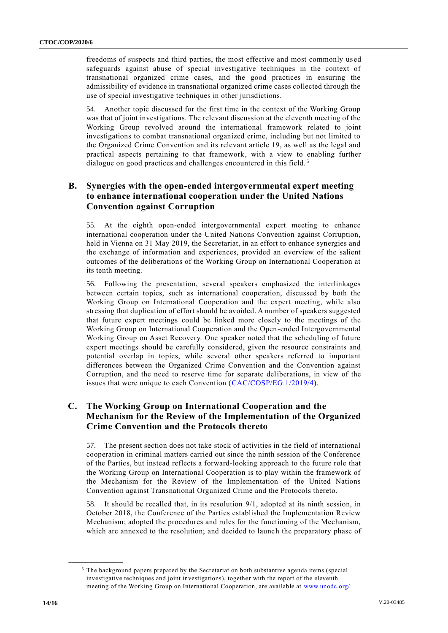freedoms of suspects and third parties, the most effective and most commonly us ed safeguards against abuse of special investigative techniques in the context of transnational organized crime cases, and the good practices in ensuring the admissibility of evidence in transnational organized crime cases collected through the use of special investigative techniques in other jurisdictions.

54. Another topic discussed for the first time in the context of the Working Group was that of joint investigations. The relevant discussion at the eleventh meeting of the Working Group revolved around the international framework related to joint investigations to combat transnational organized crime, including but not limited to the Organized Crime Convention and its relevant article 19, as well as the legal and practical aspects pertaining to that framework, with a view to enabling further dialogue on good practices and challenges encountered in this field.<sup>5</sup>

## **B. Synergies with the open-ended intergovernmental expert meeting to enhance international cooperation under the United Nations Convention against Corruption**

55. At the eighth open-ended intergovernmental expert meeting to enhance international cooperation under the United Nations Convention against Corruption, held in Vienna on 31 May 2019, the Secretariat, in an effort to enhance synergies and the exchange of information and experiences, provided an overview of the salient outcomes of the deliberations of the Working Group on International Cooperation at its tenth meeting.

56. Following the presentation, several speakers emphasized the interlinkages between certain topics, such as international cooperation, discussed by both the Working Group on International Cooperation and the expert meeting, while also stressing that duplication of effort should be avoided. A number of speakers suggested that future expert meetings could be linked more closely to the meetings of the Working Group on International Cooperation and the Open-ended Intergovernmental Working Group on Asset Recovery. One speaker noted that the scheduling of future expert meetings should be carefully considered, given the resource constraints and potential overlap in topics, while several other speakers referred to important differences between the Organized Crime Convention and the Convention against Corruption, and the need to reserve time for separate deliberations, in view of the issues that were unique to each Convention [\(CAC/COSP/EG.1/2019/4\)](http://undocs.org/CAC/COSP/EG.1/2019/4).

#### **C. The Working Group on International Cooperation and the Mechanism for the Review of the Implementation of the Organized Crime Convention and the Protocols thereto**

57. The present section does not take stock of activities in the field of international cooperation in criminal matters carried out since the ninth session of the Conference of the Parties, but instead reflects a forward-looking approach to the future role that the Working Group on International Cooperation is to play within the framework of the Mechanism for the Review of the Implementation of the United Nations Convention against Transnational Organized Crime and the Protocols thereto.

58. It should be recalled that, in its resolution 9/1, adopted at its ninth session, in October 2018, the Conference of the Parties established the Implementation Review Mechanism; adopted the procedures and rules for the functioning of the Mechanism, which are annexed to the resolution; and decided to launch the preparatory phase of

<sup>&</sup>lt;sup>5</sup> The background papers prepared by the Secretariat on both substantive agenda items (special investigative techniques and joint investigations), together with the report of the eleventh meeting of the Working Group on International Cooperation, are available at [www.unodc.org/.](http://www.unodc.org/)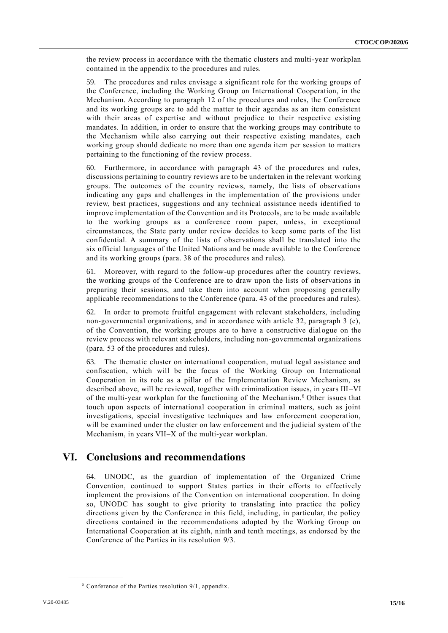the review process in accordance with the thematic clusters and multi-year workplan contained in the appendix to the procedures and rules.

59. The procedures and rules envisage a significant role for the working groups of the Conference, including the Working Group on International Cooperation, in the Mechanism. According to paragraph 12 of the procedures and rules, the Conference and its working groups are to add the matter to their agendas as an item consistent with their areas of expertise and without prejudice to their respective existing mandates. In addition, in order to ensure that the working groups may contribute to the Mechanism while also carrying out their respective existing mandates, each working group should dedicate no more than one agenda item per session to matters pertaining to the functioning of the review process.

60. Furthermore, in accordance with paragraph 43 of the procedures and rules, discussions pertaining to country reviews are to be undertaken in the relevant working groups. The outcomes of the country reviews, namely, the lists of observations indicating any gaps and challenges in the implementation of the provisions under review, best practices, suggestions and any technical assistance needs identified to improve implementation of the Convention and its Protocols, are to be made available to the working groups as a conference room paper, unless, in exceptional circumstances, the State party under review decides to keep some parts of the list confidential. A summary of the lists of observations shall be translated into the six official languages of the United Nations and be made available to the Conference and its working groups (para. 38 of the procedures and rules).

61. Moreover, with regard to the follow-up procedures after the country reviews, the working groups of the Conference are to draw upon the lists of observations in preparing their sessions, and take them into account when proposing generally applicable recommendations to the Conference (para. 43 of the procedures and rules).

In order to promote fruitful engagement with relevant stakeholders, including non-governmental organizations, and in accordance with article 32, paragraph 3 (c), of the Convention, the working groups are to have a constructive dialogue on the review process with relevant stakeholders, including non-governmental organizations (para. 53 of the procedures and rules).

63. The thematic cluster on international cooperation, mutual legal assistance and confiscation, which will be the focus of the Working Group on International Cooperation in its role as a pillar of the Implementation Review Mechanism, as described above, will be reviewed, together with criminalization issues, in years III –VI of the multi-year workplan for the functioning of the Mechanism.<sup>6</sup> Other issues that touch upon aspects of international cooperation in criminal matters, such as joint investigations, special investigative techniques and law enforcement cooperation, will be examined under the cluster on law enforcement and the judicial system of the Mechanism, in years VII–X of the multi-year workplan.

## **VI. Conclusions and recommendations**

64. UNODC, as the guardian of implementation of the Organized Crime Convention, continued to support States parties in their efforts to effectively implement the provisions of the Convention on international cooperation. In doing so, UNODC has sought to give priority to translating into practice the policy directions given by the Conference in this field, including, in particular, the policy directions contained in the recommendations adopted by the Working Group on International Cooperation at its eighth, ninth and tenth meetings, as endorsed by the Conference of the Parties in its resolution 9/3.

 $6$  Conference of the Parties resolution 9/1, appendix.